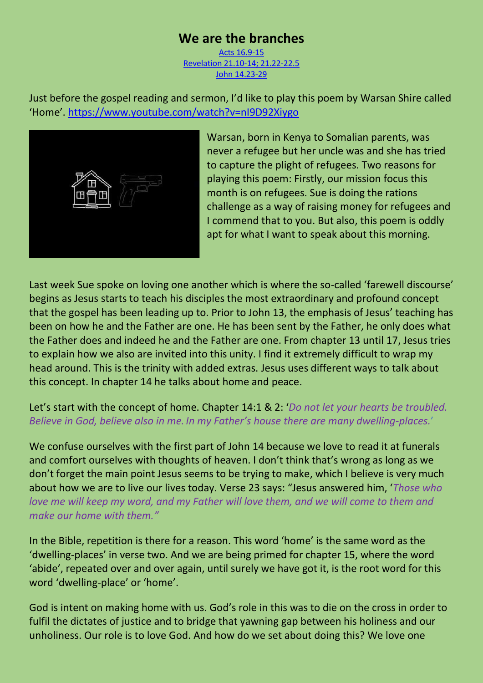## **We are the branches**

[Acts 16.9-15](https://www.biblegateway.com/passage/?search=Acts%2016%3A9-15&version=NIV)  [Revelation 21.10-14; 21.22-22.5](https://www.biblegateway.com/passage/?search=Revelation+21.10-14%3B+21.22-22.5&version=NIV)  [John 14.23-29](https://www.biblegateway.com/passage/?search=John+14.23-29&version=NIV)

Just before the gospel reading and sermon, I'd like to play this poem by Warsan Shire called 'Home'. <https://www.youtube.com/watch?v=nI9D92Xiygo>



Warsan, born in Kenya to Somalian parents, was never a refugee but her uncle was and she has tried to capture the plight of refugees. Two reasons for playing this poem: Firstly, our mission focus this month is on refugees. Sue is doing the rations challenge as a way of raising money for refugees and I commend that to you. But also, this poem is oddly apt for what I want to speak about this morning.

Last week Sue spoke on loving one another which is where the so-called 'farewell discourse' begins as Jesus starts to teach his disciples the most extraordinary and profound concept that the gospel has been leading up to. Prior to John 13, the emphasis of Jesus' teaching has been on how he and the Father are one. He has been sent by the Father, he only does what the Father does and indeed he and the Father are one. From chapter 13 until 17, Jesus tries to explain how we also are invited into this unity. I find it extremely difficult to wrap my head around. This is the trinity with added extras. Jesus uses different ways to talk about this concept. In chapter 14 he talks about home and peace.

## Let's start with the concept of home. Chapter 14:1 & 2: '*Do not let your hearts be troubled. Believe in God, believe also in me. In my Father's house there are many dwelling-places.*'

We confuse ourselves with the first part of John 14 because we love to read it at funerals and comfort ourselves with thoughts of heaven. I don't think that's wrong as long as we don't forget the main point Jesus seems to be trying to make, which I believe is very much about how we are to live our lives today. Verse 23 says: "Jesus answered him, '*Those who love me will keep my word, and my Father will love them, and we will come to them and make our home with them."*

In the Bible, repetition is there for a reason. This word 'home' is the same word as the 'dwelling-places' in verse two. And we are being primed for chapter 15, where the word 'abide', repeated over and over again, until surely we have got it, is the root word for this word 'dwelling-place' or 'home'.

God is intent on making home with us. God's role in this was to die on the cross in order to fulfil the dictates of justice and to bridge that yawning gap between his holiness and our unholiness. Our role is to love God. And how do we set about doing this? We love one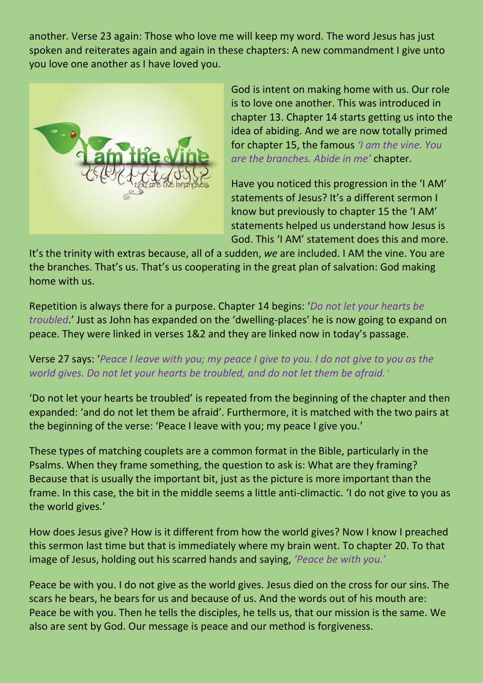another. Verse 23 again: Those who love me will keep my word. The word Jesus has just spoken and reiterates again and again in these chapters: A new commandment I give unto you love one another as I have loved you.



God is intent on making home with us. Our role is to love one another. This was introduced in chapter 13. Chapter 14 starts getting us into the idea of abiding. And we are now totally primed for chapter 15, the famous *'I am the vine. You are the branches. Abide in me'* chapter.

Have you noticed this progression in the 'I AM' statements of Jesus? It's a different sermon I know but previously to chapter 15 the 'I AM' statements helped us understand how Jesus is God. This 'I AM' statement does this and more.

It's the trinity with extras because, all of a sudden, *we* are included. I AM the vine. You are the branches. That's us. That's us cooperating in the great plan of salvation: God making home with us.

Repetition is always there for a purpose. Chapter 14 begins: '*Do not let your hearts be troubled*.' Just as John has expanded on the 'dwelling-places' he is now going to expand on peace. They were linked in verses 1&2 and they are linked now in today's passage.

Verse 27 says: '*Peace I leave with you; my peace I give to you. I do not give to you as the world gives. Do not let your hearts be troubled, and do not let them be afraid.'*

'Do not let your hearts be troubled' is repeated from the beginning of the chapter and then expanded: 'and do not let them be afraid'. Furthermore, it is matched with the two pairs at the beginning of the verse: 'Peace I leave with you; my peace I give you.'

These types of matching couplets are a common format in the Bible, particularly in the Psalms. When they frame something, the question to ask is: What are they framing? Because that is usually the important bit, just as the picture is more important than the frame. In this case, the bit in the middle seems a little anti-climactic. 'I do not give to you as the world gives.'

How does Jesus give? How is it different from how the world gives? Now I know I preached this sermon last time but that is immediately where my brain went. To chapter 20. To that image of Jesus, holding out his scarred hands and saying, *'Peace be with you.'*

Peace be with you. I do not give as the world gives. Jesus died on the cross for our sins. The scars he bears, he bears for us and because of us. And the words out of his mouth are: Peace be with you. Then he tells the disciples, he tells us, that our mission is the same. We also are sent by God. Our message is peace and our method is forgiveness.